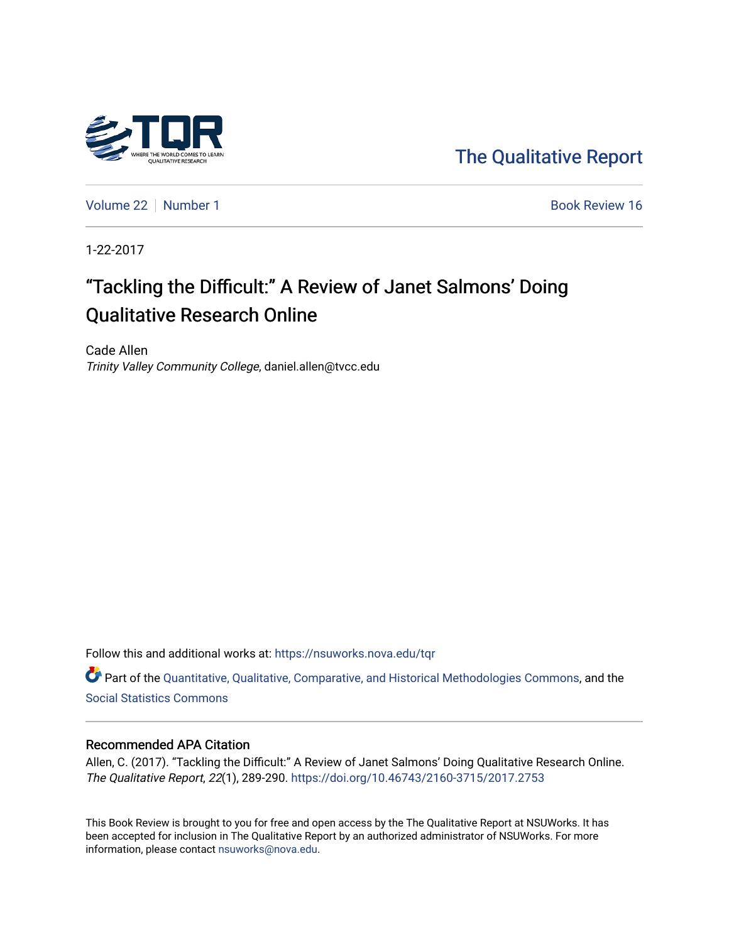

[The Qualitative Report](https://nsuworks.nova.edu/tqr) 

[Volume 22](https://nsuworks.nova.edu/tqr/vol22) [Number 1](https://nsuworks.nova.edu/tqr/vol22/iss1) Book Review 16

1-22-2017

# "Tackling the Difficult:" A Review of Janet Salmons' Doing Qualitative Research Online

Cade Allen Trinity Valley Community College, daniel.allen@tvcc.edu

Follow this and additional works at: [https://nsuworks.nova.edu/tqr](https://nsuworks.nova.edu/tqr?utm_source=nsuworks.nova.edu%2Ftqr%2Fvol22%2Fiss1%2F16&utm_medium=PDF&utm_campaign=PDFCoverPages) 

Part of the [Quantitative, Qualitative, Comparative, and Historical Methodologies Commons,](http://network.bepress.com/hgg/discipline/423?utm_source=nsuworks.nova.edu%2Ftqr%2Fvol22%2Fiss1%2F16&utm_medium=PDF&utm_campaign=PDFCoverPages) and the [Social Statistics Commons](http://network.bepress.com/hgg/discipline/1275?utm_source=nsuworks.nova.edu%2Ftqr%2Fvol22%2Fiss1%2F16&utm_medium=PDF&utm_campaign=PDFCoverPages) 

#### Recommended APA Citation

Allen, C. (2017). "Tackling the Difficult:" A Review of Janet Salmons' Doing Qualitative Research Online. The Qualitative Report, 22(1), 289-290. <https://doi.org/10.46743/2160-3715/2017.2753>

This Book Review is brought to you for free and open access by the The Qualitative Report at NSUWorks. It has been accepted for inclusion in The Qualitative Report by an authorized administrator of NSUWorks. For more information, please contact [nsuworks@nova.edu.](mailto:nsuworks@nova.edu)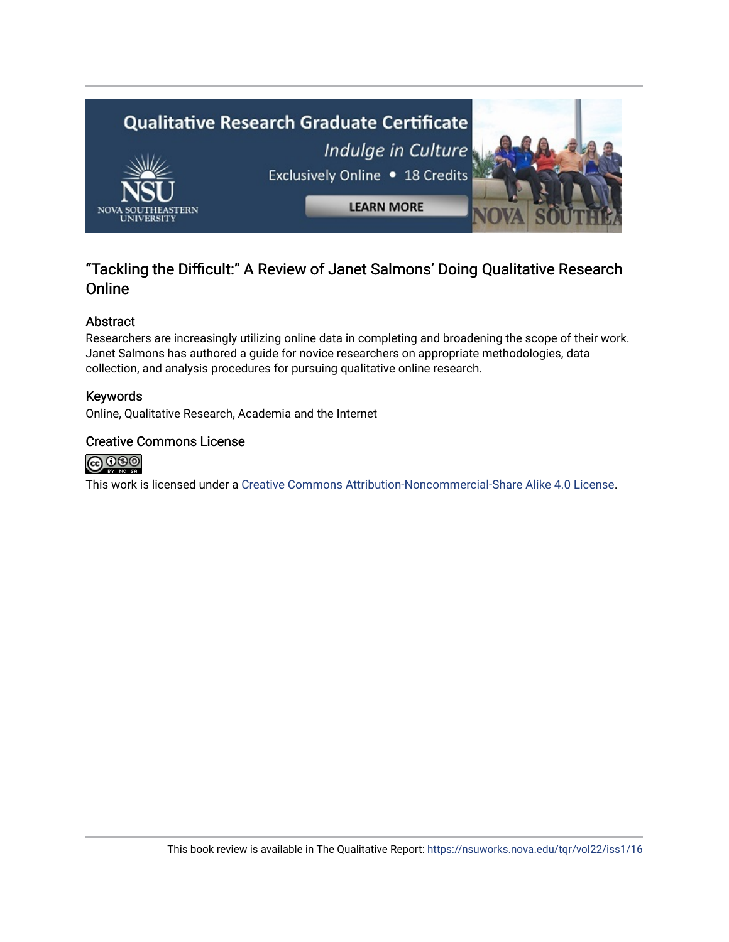

### "Tackling the Difficult:" A Review of Janet Salmons' Doing Qualitative Research Online

#### Abstract

Researchers are increasingly utilizing online data in completing and broadening the scope of their work. Janet Salmons has authored a guide for novice researchers on appropriate methodologies, data collection, and analysis procedures for pursuing qualitative online research.

#### Keywords

Online, Qualitative Research, Academia and the Internet

#### Creative Commons License



This work is licensed under a [Creative Commons Attribution-Noncommercial-Share Alike 4.0 License](https://creativecommons.org/licenses/by-nc-sa/4.0/).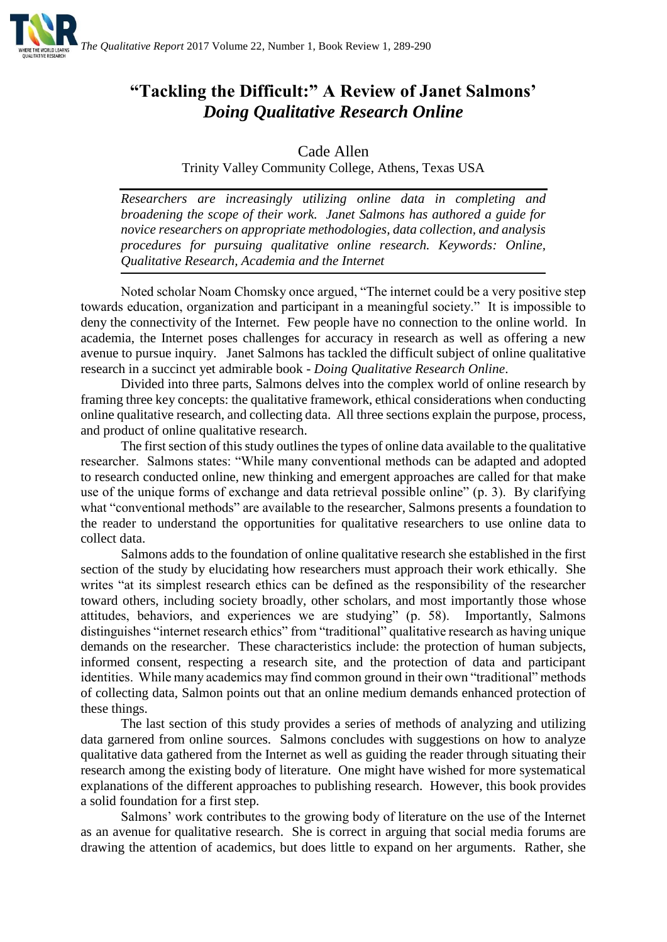

## **"Tackling the Difficult:" A Review of Janet Salmons'**  *Doing Qualitative Research Online*

Cade Allen

Trinity Valley Community College, Athens, Texas USA

*Researchers are increasingly utilizing online data in completing and broadening the scope of their work. Janet Salmons has authored a guide for novice researchers on appropriate methodologies, data collection, and analysis procedures for pursuing qualitative online research. Keywords: Online, Qualitative Research, Academia and the Internet*

Noted scholar Noam Chomsky once argued, "The internet could be a very positive step towards education, organization and participant in a meaningful society." It is impossible to deny the connectivity of the Internet. Few people have no connection to the online world. In academia, the Internet poses challenges for accuracy in research as well as offering a new avenue to pursue inquiry. Janet Salmons has tackled the difficult subject of online qualitative research in a succinct yet admirable book - *Doing Qualitative Research Online*.

Divided into three parts, Salmons delves into the complex world of online research by framing three key concepts: the qualitative framework, ethical considerations when conducting online qualitative research, and collecting data. All three sections explain the purpose, process, and product of online qualitative research.

The first section of this study outlines the types of online data available to the qualitative researcher. Salmons states: "While many conventional methods can be adapted and adopted to research conducted online, new thinking and emergent approaches are called for that make use of the unique forms of exchange and data retrieval possible online" (p. 3). By clarifying what "conventional methods" are available to the researcher, Salmons presents a foundation to the reader to understand the opportunities for qualitative researchers to use online data to collect data.

Salmons adds to the foundation of online qualitative research she established in the first section of the study by elucidating how researchers must approach their work ethically. She writes "at its simplest research ethics can be defined as the responsibility of the researcher toward others, including society broadly, other scholars, and most importantly those whose attitudes, behaviors, and experiences we are studying" (p. 58). Importantly, Salmons distinguishes "internet research ethics" from "traditional" qualitative research as having unique demands on the researcher. These characteristics include: the protection of human subjects, informed consent, respecting a research site, and the protection of data and participant identities. While many academics may find common ground in their own "traditional" methods of collecting data, Salmon points out that an online medium demands enhanced protection of these things.

The last section of this study provides a series of methods of analyzing and utilizing data garnered from online sources. Salmons concludes with suggestions on how to analyze qualitative data gathered from the Internet as well as guiding the reader through situating their research among the existing body of literature. One might have wished for more systematical explanations of the different approaches to publishing research. However, this book provides a solid foundation for a first step.

Salmons' work contributes to the growing body of literature on the use of the Internet as an avenue for qualitative research. She is correct in arguing that social media forums are drawing the attention of academics, but does little to expand on her arguments. Rather, she